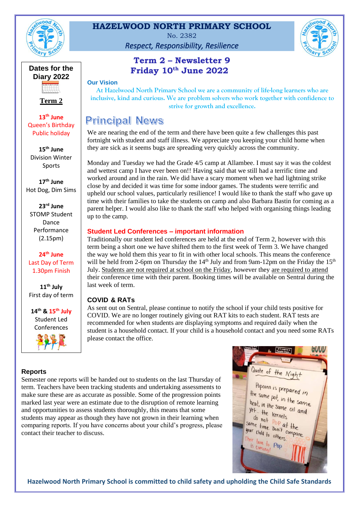

## **HAZELWOOD NORTH PRIMARY SCHOOL**

No. 2382

*Respect, Responsibility, Resilience*



## **Term 2 – Newsletter 9 Friday 10th June 2022**

**Our Vision**

**At Hazelwood North Primary School we are a community of life-long learners who are inclusive, kind and curious. We are problem solvers who work together with confidence to strive for growth and excellence.**

# **Principal News**

We are nearing the end of the term and there have been quite a few challenges this past fortnight with student and staff illness. We appreciate you keeping your child home when they are sick as it seems bugs are spreading very quickly across the community.

Monday and Tuesday we had the Grade 4/5 camp at Allambee. I must say it was the coldest and wettest camp I have ever been on!! Having said that we still had a terrific time and worked around and in the rain. We did have a scary moment when we had lightning strike close by and decided it was time for some indoor games. The students were terrific and upheld our school values, particularly resilience! I would like to thank the staff who gave up time with their families to take the students on camp and also Barbara Bastin for coming as a parent helper. I would also like to thank the staff who helped with organising things leading up to the camp.

#### **Student Led Conferences – important information**

Traditionally our student led conferences are held at the end of Term 2, however with this term being a short one we have shifted them to the first week of Term 3. We have changed the way we hold them this year to fit in with other local schools. This means the conference will be held from 2-6pm on Thursday the  $14<sup>th</sup>$  July and from 9am-12pm on the Friday the  $15<sup>th</sup>$ July. Students are not required at school on the Friday, however they are required to attend their conference time with their parent. Booking times will be available on Sentral during the last week of term.

## **COVID & RATs**

As sent out on Sentral, please continue to notify the school if your child tests positive for COVID. We are no longer routinely giving out RAT kits to each student. RAT tests are recommended for when students are displaying symptoms and required daily when the student is a household contact. If your child is a household contact and you need some RATs please contact the office.

# **Term 2**

**Dates for the Diary 2022**

**13th June** Queen's Birthday Public holiday

**15th June** Division Winter Sports

**17th June**  Hot Dog, Dim Sims

**23rd June** STOMP Student Dance Performance (2.15pm)

**24th June** Last Day of Term 1.30pm Finish

**11th July** First day of term

**14th & 15th July** Student Led Conferences



#### **Reports**

Semester one reports will be handed out to students on the last Thursday of term. Teachers have been tracking students and undertaking assessments to make sure these are as accurate as possible. Some of the progression points marked last year were an estimate due to the disruption of remote learning and opportunities to assess students thoroughly, this means that some students may appear as though they have not grown in their learning when comparing reports. If you have concerns about your child's progress, please contact their teacher to discuss.

GUUU Quote of the Night Popcorn is prepared in the same pot, in the same<br>heat, in the same heat, in the same<br>yet... the same oil and  $y_{e+...+he}$  kernels do not pernels<br>same time Don't compare<br>your child to others your child to others. Their turn to other<br>is coming! Pop is turn to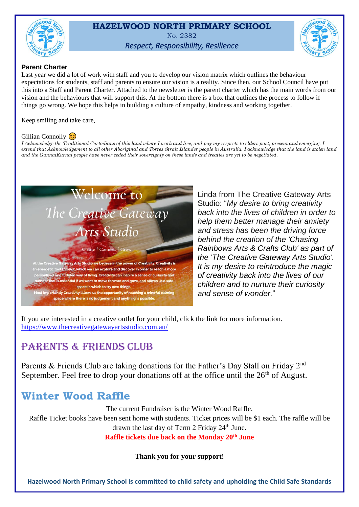

## **HAZELWOOD NORTH PRIMARY SCHOOL** No. 2382 *Respect, Responsibility, Resilience*



#### **Parent Charter**

Last year we did a lot of work with staff and you to develop our vision matrix which outlines the behaviour expectations for students, staff and parents to ensure our vision is a reality. Since then, our School Council have put this into a Staff and Parent Charter. Attached to the newsletter is the parent charter which has the main words from our vision and the behaviours that will support this. At the bottom there is a box that outlines the process to follow if things go wrong. We hope this helps in building a culture of empathy, kindness and working together.

Keep smiling and take care,

#### Gillian Connolly  $\circledcirc$

*I* Acknowledge the Traditional Custodians of this land where I work and live, and pay my respects to elders past, present and emerging. I *extend that Acknowledgement to all other Aboriginal and Torres Strait Islander people in Australia. I acknowledge that the land is stolen land and the GunnaiKurnai people have never ceded their sovereignty on these lands and treaties are yet to be negotiated.*



Linda from The Creative Gateway Arts Studio: "*My desire to bring creativity back into the lives of children in order to help them better manage their anxiety and stress has been the driving force behind the creation of the 'Chasing Rainbows Arts & Crafts Club' as part of the 'The Creative Gateway Arts Studio'. It is my desire to reintroduce the magic of creativity back into the lives of our children and to nurture their curiosity and sense of wonder.*"

If you are interested in a creative outlet for your child, click the link for more information. <https://www.thecreativegatewayartsstudio.com.au/>

# PARENTS & FRIENDS CLUB

Parents & Friends Club are taking donations for the Father's Day Stall on Friday 2<sup>nd</sup> September. Feel free to drop your donations off at the office until the  $26<sup>th</sup>$  of August.

# **Winter Wood Raffle**

The current Fundraiser is the Winter Wood Raffle.

Raffle Ticket books have been sent home with students. Ticket prices will be \$1 each. The raffle will be drawn the last day of Term 2 Friday  $24<sup>th</sup>$  June.

**Raffle tickets due back on the Monday 20th June** 

**Thank you for your support!**

**Hazelwood North Primary School is committed to child safety and upholding the Child Safe Standards**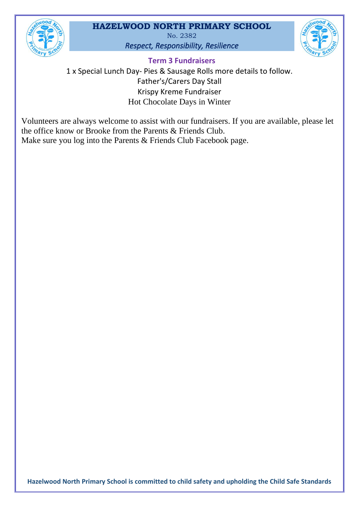

## **HAZELWOOD NORTH PRIMARY SCHOOL**

No. 2382 *Respect, Responsibility, Resilience*



**Term 3 Fundraisers**

1 x Special Lunch Day- Pies & Sausage Rolls more details to follow. Father's/Carers Day Stall Krispy Kreme Fundraiser Hot Chocolate Days in Winter

Volunteers are always welcome to assist with our fundraisers. If you are available, please let the office know or Brooke from the Parents & Friends Club. Make sure you log into the Parents & Friends Club Facebook page.

**Hazelwood North Primary School is committed to child safety and upholding the Child Safe Standards**